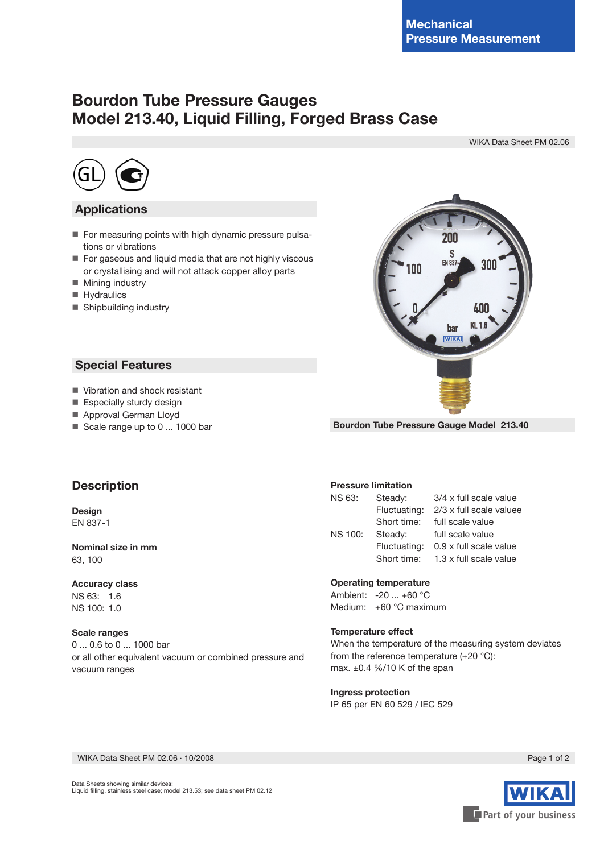## **Bourdon Tube Pressure Gauges Model 213.40, Liquid Filling, Forged Brass Case**

WIKA Data Sheet PM 02.06



## **Applications**

- For measuring points with high dynamic pressure pulsations or vibrations
- For gaseous and liquid media that are not highly viscous or crystallising and will not attack copper alloy parts
- **Mining industry**
- **Hydraulics**
- Shipbuilding industry

 **Special Features**

Vibration and shock resistant Especially sturdy design ■ Approval German Lloyd Scale range up to 0 ... 1000 bar



**Bourdon Tube Pressure Gauge Model 213.40**

# **Description**

**Design** EN 837-1

**Nominal size in mm** 63, 100

#### **Accuracy class** NS 63: 1.6 NS 100: 1.0

**Scale ranges** 0 ... 0.6 to 0 ... 1000 bar or all other equivalent vacuum or combined pressure and vacuum ranges

#### **Pressure limitation**

| NS 63:         | Steady:      | 3/4 x full scale value  |
|----------------|--------------|-------------------------|
|                | Fluctuating: | 2/3 x full scale valuee |
|                | Short time:  | full scale value        |
| <b>NS 100:</b> | Steady:      | full scale value        |
|                | Fluctuating: | 0.9 x full scale value  |
|                | Short time:  | 1.3 x full scale value  |

#### **Operating temperature**

Ambient: -20 ... +60 °C Medium: +60 °C maximum

#### **Temperature effect**

When the temperature of the measuring system deviates from the reference temperature (+20 °C): max. ±0.4 %/10 K of the span

#### **Ingress protection**

IP 65 per EN 60 529 / lEC 529

WIKA Data Sheet PM 02.06 ∙ 10/2008 Page 1 of 2

Part of your business

Data Sheets showing similar devices: Liquid filling, stainless steel case; model 213.53; see data sheet PM 02.12